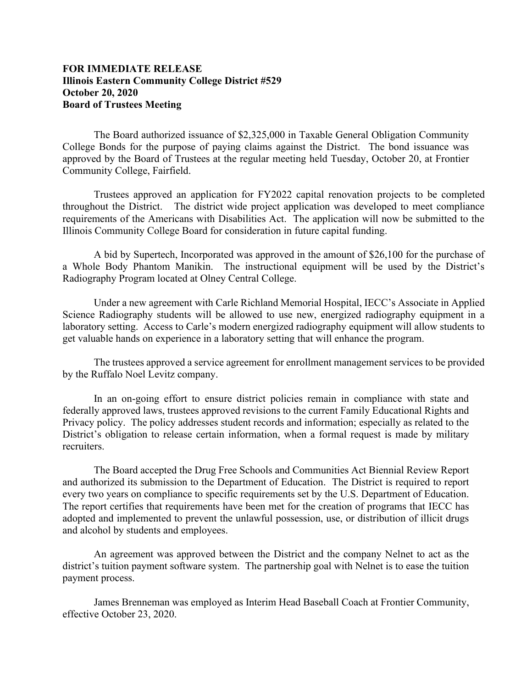## **FOR IMMEDIATE RELEASE Illinois Eastern Community College District #529 October 20, 2020 Board of Trustees Meeting**

The Board authorized issuance of \$2,325,000 in Taxable General Obligation Community College Bonds for the purpose of paying claims against the District. The bond issuance was approved by the Board of Trustees at the regular meeting held Tuesday, October 20, at Frontier Community College, Fairfield.

Trustees approved an application for FY2022 capital renovation projects to be completed throughout the District. The district wide project application was developed to meet compliance requirements of the Americans with Disabilities Act. The application will now be submitted to the Illinois Community College Board for consideration in future capital funding.

A bid by Supertech, Incorporated was approved in the amount of \$26,100 for the purchase of a Whole Body Phantom Manikin. The instructional equipment will be used by the District's Radiography Program located at Olney Central College.

Under a new agreement with Carle Richland Memorial Hospital, IECC's Associate in Applied Science Radiography students will be allowed to use new, energized radiography equipment in a laboratory setting. Access to Carle's modern energized radiography equipment will allow students to get valuable hands on experience in a laboratory setting that will enhance the program.

The trustees approved a service agreement for enrollment management services to be provided by the Ruffalo Noel Levitz company.

In an on-going effort to ensure district policies remain in compliance with state and federally approved laws, trustees approved revisions to the current Family Educational Rights and Privacy policy. The policy addresses student records and information; especially as related to the District's obligation to release certain information, when a formal request is made by military recruiters.

The Board accepted the Drug Free Schools and Communities Act Biennial Review Report and authorized its submission to the Department of Education. The District is required to report every two years on compliance to specific requirements set by the U.S. Department of Education. The report certifies that requirements have been met for the creation of programs that IECC has adopted and implemented to prevent the unlawful possession, use, or distribution of illicit drugs and alcohol by students and employees.

An agreement was approved between the District and the company Nelnet to act as the district's tuition payment software system. The partnership goal with Nelnet is to ease the tuition payment process.

James Brenneman was employed as Interim Head Baseball Coach at Frontier Community, effective October 23, 2020.